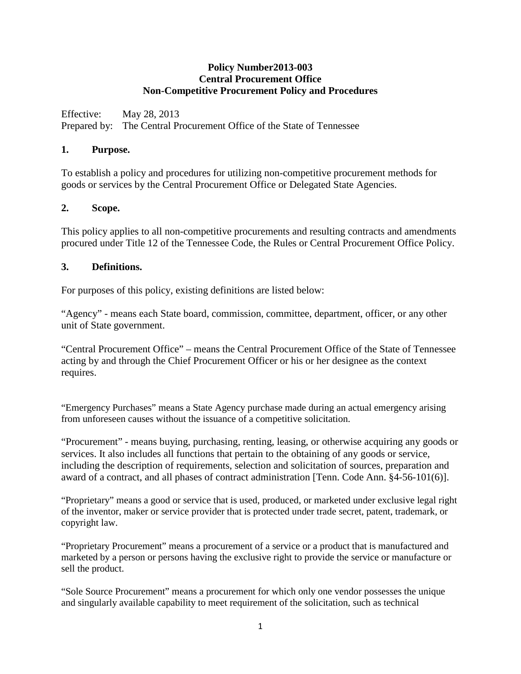## **Policy Number2013-003 Central Procurement Office Non-Competitive Procurement Policy and Procedures**

Effective: May 28, 2013 Prepared by: The Central Procurement Office of the State of Tennessee

## **1. Purpose.**

To establish a policy and procedures for utilizing non-competitive procurement methods for goods or services by the Central Procurement Office or Delegated State Agencies.

## **2. Scope.**

This policy applies to all non-competitive procurements and resulting contracts and amendments procured under Title 12 of the Tennessee Code, the Rules or Central Procurement Office Policy.

## **3. Definitions.**

For purposes of this policy, existing definitions are listed below:

"Agency" - means each State board, commission, committee, department, officer, or any other unit of State government.

"Central Procurement Office" – means the Central Procurement Office of the State of Tennessee acting by and through the Chief Procurement Officer or his or her designee as the context requires.

"Emergency Purchases" means a State Agency purchase made during an actual emergency arising from unforeseen causes without the issuance of a competitive solicitation.

"Procurement" - means buying, purchasing, renting, leasing, or otherwise acquiring any goods or services. It also includes all functions that pertain to the obtaining of any goods or service, including the description of requirements, selection and solicitation of sources, preparation and award of a contract, and all phases of contract administration [Tenn. Code Ann. §4-56-101(6)].

"Proprietary" means a good or service that is used, produced, or marketed under exclusive legal right of the inventor, maker or service provider that is protected under trade secret, patent, trademark, or copyright law.

"Proprietary Procurement" means a procurement of a service or a product that is manufactured and marketed by a person or persons having the exclusive right to provide the service or manufacture or sell the product.

"Sole Source Procurement" means a procurement for which only one vendor possesses the unique and singularly available capability to meet requirement of the solicitation, such as technical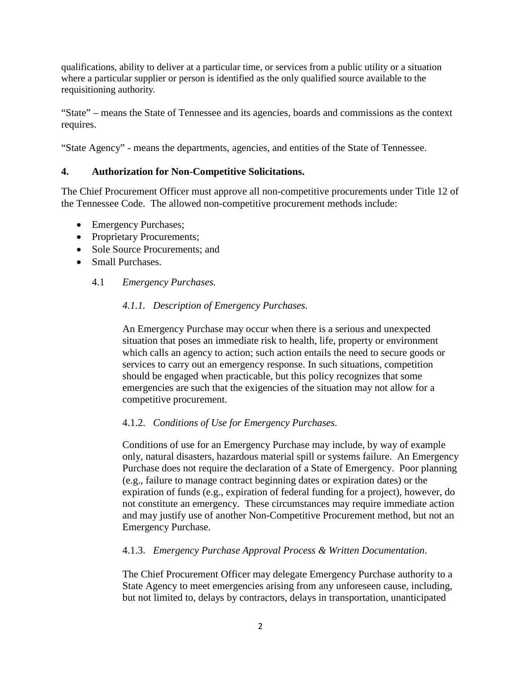qualifications, ability to deliver at a particular time, or services from a public utility or a situation where a particular supplier or person is identified as the only qualified source available to the requisitioning authority*.* 

"State" – means the State of Tennessee and its agencies, boards and commissions as the context requires.

"State Agency" - means the departments, agencies, and entities of the State of Tennessee.

## **4. Authorization for Non-Competitive Solicitations.**

The Chief Procurement Officer must approve all non-competitive procurements under Title 12 of the Tennessee Code. The allowed non-competitive procurement methods include:

- Emergency Purchases;
- Proprietary Procurements;
- Sole Source Procurements: and
- Small Purchases.
	- 4.1 *Emergency Purchases.*

### *4.1.1. Description of Emergency Purchases.*

An Emergency Purchase may occur when there is a serious and unexpected situation that poses an immediate risk to health, life, property or environment which calls an agency to action; such action entails the need to secure goods or services to carry out an emergency response. In such situations, competition should be engaged when practicable, but this policy recognizes that some emergencies are such that the exigencies of the situation may not allow for a competitive procurement.

### 4.1.2. *Conditions of Use for Emergency Purchases*.

Conditions of use for an Emergency Purchase may include, by way of example only, natural disasters, hazardous material spill or systems failure. An Emergency Purchase does not require the declaration of a State of Emergency. Poor planning (e.g., failure to manage contract beginning dates or expiration dates) or the expiration of funds (e.g., expiration of federal funding for a project), however, do not constitute an emergency. These circumstances may require immediate action and may justify use of another Non-Competitive Procurement method, but not an Emergency Purchase.

### 4.1.3. *Emergency Purchase Approval Process & Written Documentation*.

The Chief Procurement Officer may delegate Emergency Purchase authority to a State Agency to meet emergencies arising from any unforeseen cause, including, but not limited to, delays by contractors, delays in transportation, unanticipated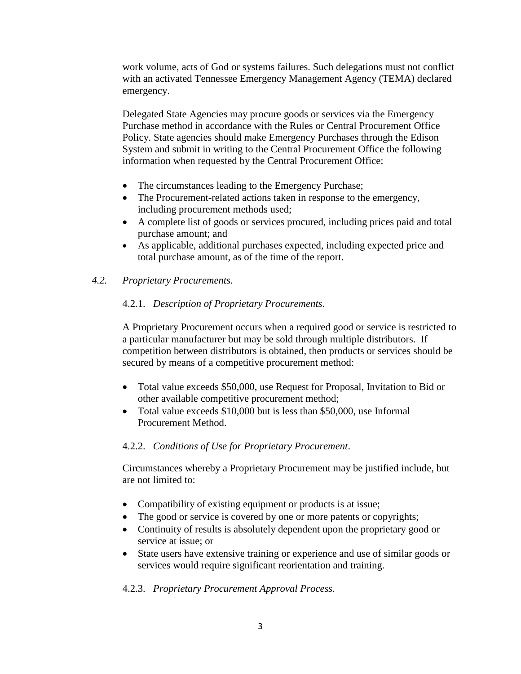work volume, acts of God or systems failures. Such delegations must not conflict with an activated Tennessee Emergency Management Agency (TEMA) declared emergency.

Delegated State Agencies may procure goods or services via the Emergency Purchase method in accordance with the Rules or Central Procurement Office Policy. State agencies should make Emergency Purchases through the Edison System and submit in writing to the Central Procurement Office the following information when requested by the Central Procurement Office:

- The circumstances leading to the Emergency Purchase;
- The Procurement-related actions taken in response to the emergency, including procurement methods used;
- A complete list of goods or services procured, including prices paid and total purchase amount; and
- As applicable, additional purchases expected, including expected price and total purchase amount, as of the time of the report.
- *4.2. Proprietary Procurements.*

## 4.2.1. *Description of Proprietary Procurements*.

A Proprietary Procurement occurs when a required good or service is restricted to a particular manufacturer but may be sold through multiple distributors. If competition between distributors is obtained, then products or services should be secured by means of a competitive procurement method:

- Total value exceeds \$50,000, use Request for Proposal, Invitation to Bid or other available competitive procurement method;
- Total value exceeds \$10,000 but is less than \$50,000, use Informal Procurement Method.

### 4.2.2. *Conditions of Use for Proprietary Procurement*.

Circumstances whereby a Proprietary Procurement may be justified include, but are not limited to:

- Compatibility of existing equipment or products is at issue;
- The good or service is covered by one or more patents or copyrights;
- Continuity of results is absolutely dependent upon the proprietary good or service at issue; or
- State users have extensive training or experience and use of similar goods or services would require significant reorientation and training.

### 4.2.3. *Proprietary Procurement Approval Process*.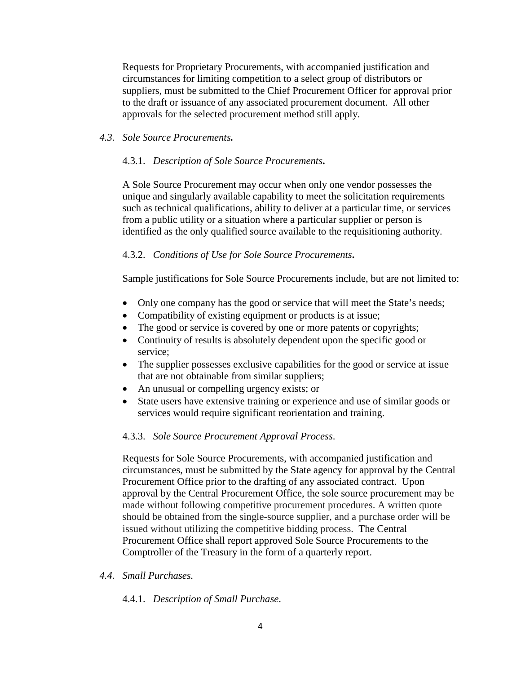Requests for Proprietary Procurements, with accompanied justification and circumstances for limiting competition to a select group of distributors or suppliers, must be submitted to the Chief Procurement Officer for approval prior to the draft or issuance of any associated procurement document. All other approvals for the selected procurement method still apply.

## *4.3. Sole Source Procurements.*

## 4.3.1. *Description of Sole Source Procurements***.**

A Sole Source Procurement may occur when only one vendor possesses the unique and singularly available capability to meet the solicitation requirements such as technical qualifications, ability to deliver at a particular time, or services from a public utility or a situation where a particular supplier or person is identified as the only qualified source available to the requisitioning authority*.*

## 4.3.2. *Conditions of Use for Sole Source Procurements***.**

Sample justifications for Sole Source Procurements include, but are not limited to:

- Only one company has the good or service that will meet the State's needs;
- Compatibility of existing equipment or products is at issue;
- The good or service is covered by one or more patents or copyrights;
- Continuity of results is absolutely dependent upon the specific good or service;
- The supplier possesses exclusive capabilities for the good or service at issue that are not obtainable from similar suppliers;
- An unusual or compelling urgency exists; or
- State users have extensive training or experience and use of similar goods or services would require significant reorientation and training.

# 4.3.3. *Sole Source Procurement Approval Process*.

Requests for Sole Source Procurements, with accompanied justification and circumstances, must be submitted by the State agency for approval by the Central Procurement Office prior to the drafting of any associated contract. Upon approval by the Central Procurement Office, the sole source procurement may be made without following competitive procurement procedures. A written quote should be obtained from the single-source supplier, and a purchase order will be issued without utilizing the competitive bidding process. The Central Procurement Office shall report approved Sole Source Procurements to the Comptroller of the Treasury in the form of a quarterly report.

### *4.4. Small Purchases.*

4.4.1. *Description of Small Purchase*.